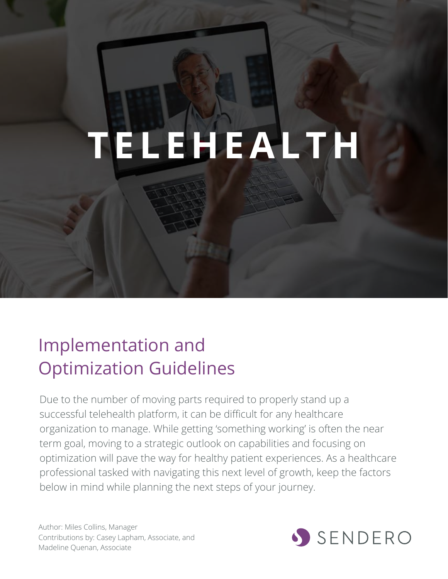# **T E L E H E A L T H**

# Implementation and Optimization Guidelines

Due to the number of moving parts required to properly stand up a successful telehealth platform, it can be difficult for any healthcare organization to manage. While getting 'something working' is often the near term goal, moving to a strategic outlook on capabilities and focusing on optimization will pave the way for healthy patient experiences. As a healthcare professional tasked with navigating this next level of growth, keep the factors below in mind while planning the next steps of your journey.

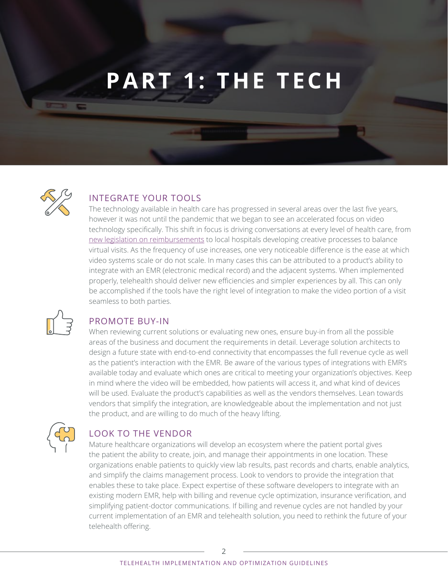# **PART 1: THE TECH**



### INTEGRATE YOUR TOOLS

The technology available in health care has progressed in several areas over the last five years, however it was not until the pandemic that we began to see an accelerated focus on video technology specifically. This shift in focus is driving conversations at every level of health care, from [new legislation on reimbursements](https://www.plantemoran.com/explore-our-thinking/insight/2020/04/how-is-the-covid19-pandemic-affecting-healthcare-reimbursements) to local hospitals developing creative processes to balance virtual visits. As the frequency of use increases, one very noticeable difference is the ease at which video systems scale or do not scale. In many cases this can be attributed to a product's ability to integrate with an EMR (electronic medical record) and the adjacent systems. When implemented properly, telehealth should deliver new efficiencies and simpler experiences by all. This can only be accomplished if the tools have the right level of integration to make the video portion of a visit seamless to both parties.



# PROMOTE BUY-IN

When reviewing current solutions or evaluating new ones, ensure buy-in from all the possible areas of the business and document the requirements in detail. Leverage solution architects to design a future state with end-to-end connectivity that encompasses the full revenue cycle as well as the patient's interaction with the EMR. Be aware of the various types of integrations with EMR's available today and evaluate which ones are critical to meeting your organization's objectives. Keep in mind where the video will be embedded, how patients will access it, and what kind of devices will be used. Evaluate the product's capabilities as well as the vendors themselves. Lean towards vendors that simplify the integration, are knowledgeable about the implementation and not just the product, and are willing to do much of the heavy lifting.



# LOOK TO THE VENDOR

Mature healthcare organizations will develop an ecosystem where the patient portal gives the patient the ability to create, join, and manage their appointments in one location. These organizations enable patients to quickly view lab results, past records and charts, enable analytics, and simplify the claims management process. Look to vendors to provide the integration that enables these to take place. Expect expertise of these software developers to integrate with an existing modern EMR, help with billing and revenue cycle optimization, insurance verification, and simplifying patient-doctor communications. If billing and revenue cycles are not handled by your current implementation of an EMR and telehealth solution, you need to rethink the future of your telehealth offering.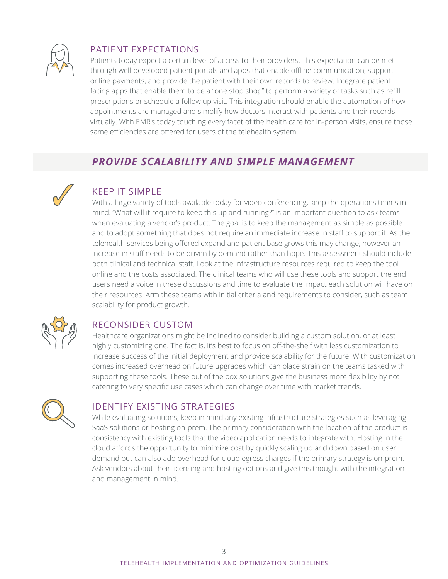

# PATIENT EXPECTATIONS

Patients today expect a certain level of access to their providers. This expectation can be met through well-developed patient portals and apps that enable offline communication, support online payments, and provide the patient with their own records to review. Integrate patient facing apps that enable them to be a "one stop shop" to perform a variety of tasks such as refill prescriptions or schedule a follow up visit. This integration should enable the automation of how appointments are managed and simplify how doctors interact with patients and their records virtually. With EMR's today touching every facet of the health care for in-person visits, ensure those same efficiencies are offered for users of the telehealth system.

# *PROVIDE SCALABILITY AND SIMPLE MANAGEMENT*



# KEEP IT SIMPLE

With a large variety of tools available today for video conferencing, keep the operations teams in mind. "What will it require to keep this up and running?" is an important question to ask teams when evaluating a vendor's product. The goal is to keep the management as simple as possible and to adopt something that does not require an immediate increase in staff to support it. As the telehealth services being offered expand and patient base grows this may change, however an increase in staff needs to be driven by demand rather than hope. This assessment should include both clinical and technical staff. Look at the infrastructure resources required to keep the tool online and the costs associated. The clinical teams who will use these tools and support the end users need a voice in these discussions and time to evaluate the impact each solution will have on their resources. Arm these teams with initial criteria and requirements to consider, such as team scalability for product growth.



# RECONSIDER CUSTOM

Healthcare organizations might be inclined to consider building a custom solution, or at least highly customizing one. The fact is, it's best to focus on off-the-shelf with less customization to increase success of the initial deployment and provide scalability for the future. With customization comes increased overhead on future upgrades which can place strain on the teams tasked with supporting these tools. These out of the box solutions give the business more flexibility by not catering to very specific use cases which can change over time with market trends.



#### IDENTIFY EXISTING STRATEGIES

While evaluating solutions, keep in mind any existing infrastructure strategies such as leveraging SaaS solutions or hosting on-prem. The primary consideration with the location of the product is consistency with existing tools that the video application needs to integrate with. Hosting in the cloud affords the opportunity to minimize cost by quickly scaling up and down based on user demand but can also add overhead for cloud egress charges if the primary strategy is on-prem. Ask vendors about their licensing and hosting options and give this thought with the integration and management in mind.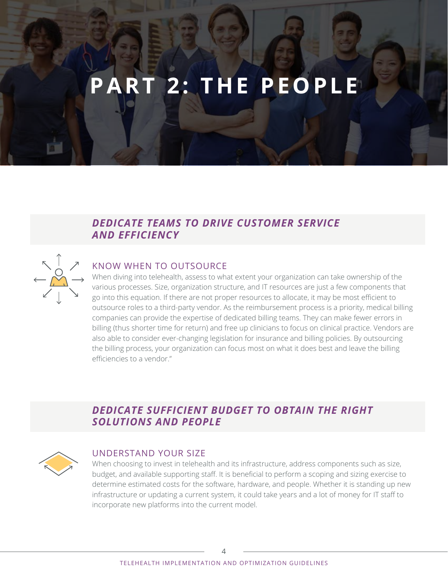# **PART 2: THE PEOPLE**

# *DEDICATE TEAMS TO DRIVE CUSTOMER SERVICE AND EFFICIENCY*



#### KNOW WHEN TO OUTSOURCE

When diving into telehealth, assess to what extent your organization can take ownership of the various processes. Size, organization structure, and IT resources are just a few components that go into this equation. If there are not proper resources to allocate, it may be most efficient to outsource roles to a third-party vendor. As the reimbursement process is a priority, medical billing companies can provide the expertise of dedicated billing teams. They can make fewer errors in billing (thus shorter time for return) and free up clinicians to focus on clinical practice. Vendors are also able to consider ever-changing legislation for insurance and billing policies. By outsourcing the billing process, your organization can focus most on what it does best and leave the billing efficiencies to a vendor."

# *DEDICATE SUFFICIENT BUDGET TO OBTAIN THE RIGHT SOLUTIONS AND PEOPLE*



#### UNDERSTAND YOUR SIZE

When choosing to invest in telehealth and its infrastructure, address components such as size, budget, and available supporting staff. It is beneficial to perform a scoping and sizing exercise to determine estimated costs for the software, hardware, and people. Whether it is standing up new infrastructure or updating a current system, it could take years and a lot of money for IT staff to incorporate new platforms into the current model.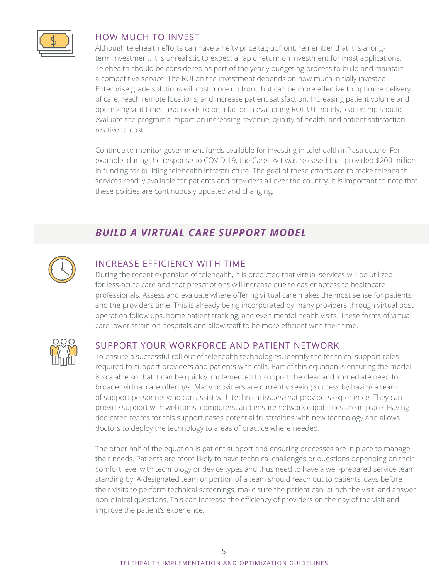

#### HOW MUCH TO INVEST

Although telehealth efforts can have a hefty price tag upfront, remember that it is a longterm investment. It is unrealistic to expect a rapid return on investment for most applications. Telehealth should be considered as part of the yearly budgeting process to build and maintain a competitive service. The ROI on the investment depends on how much initially invested. Enterprise grade solutions will cost more up front, but can be more effective to optimize delivery of care, reach remote locations, and increase patient satisfaction. Increasing patient volume and optimizing visit times also needs to be a factor in evaluating ROI. Ultimately, leadership should evaluate the program's impact on increasing revenue, quality of health, and patient satisfaction relative to cost.

Continue to monitor government funds available for investing in telehealth infrastructure. For example, during the response to COVID-19, the Cares Act was released that provided \$200 million in funding for building telehealth infrastructure. The goal of these efforts are to make telehealth services readily available for patients and providers all over the country. It is important to note that these policies are continuously updated and changing.

# *BUILD A VIRTUAL CARE SUPPORT MODEL*



### INCREASE EFFICIENCY WITH TIME

During the recent expansion of telehealth, it is predicted that virtual services will be utilized for less-acute care and that prescriptions will increase due to easier access to healthcare professionals. Assess and evaluate where offering virtual care makes the most sense for patients and the providers time. This is already being incorporated by many providers through virtual post operation follow ups, home patient tracking, and even mental health visits. These forms of virtual care lower strain on hospitals and allow staff to be more efficient with their time.



#### SUPPORT YOUR WORKFORCE AND PATIENT NETWORK

To ensure a successful roll out of telehealth technologies, identify the technical support roles required to support providers and patients with calls. Part of this equation is ensuring the model is scalable so that it can be quickly implemented to support the clear and immediate need for broader virtual care offerings. Many providers are currently seeing success by having a team of support personnel who can assist with technical issues that providers experience. They can provide support with webcams, computers, and ensure network capabilities are in place. Having dedicated teams for this support eases potential frustrations with new technology and allows doctors to deploy the technology to areas of practice where needed.

The other half of the equation is patient support and ensuring processes are in place to manage their needs. Patients are more likely to have technical challenges or questions depending on their comfort level with technology or device types and thus need to have a well-prepared service team standing by. A designated team or portion of a team should reach out to patients' days before their visits to perform technical screenings, make sure the patient can launch the visit, and answer non-clinical questions. This can increase the efficiency of providers on the day of the visit and improve the patient's experience.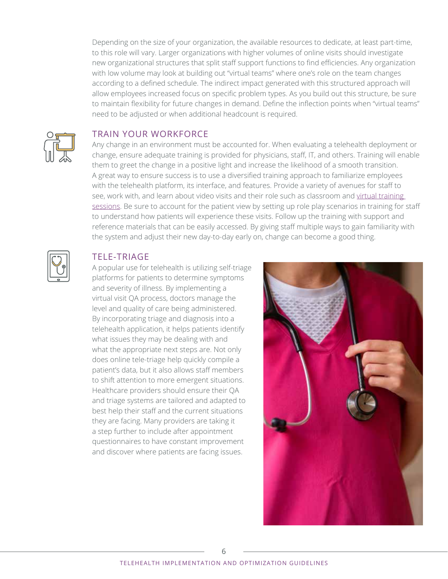Depending on the size of your organization, the available resources to dedicate, at least part-time, to this role will vary. Larger organizations with higher volumes of online visits should investigate new organizational structures that split staff support functions to find efficiencies. Any organization with low volume may look at building out "virtual teams" where one's role on the team changes according to a defined schedule. The indirect impact generated with this structured approach will allow employees increased focus on specific problem types. As you build out this structure, be sure to maintain flexibility for future changes in demand. Define the inflection points when "virtual teams" need to be adjusted or when additional headcount is required.



#### TRAIN YOUR WORKFORCE

Any change in an environment must be accounted for. When evaluating a telehealth deployment or change, ensure adequate training is provided for physicians, staff, IT, and others. Training will enable them to greet the change in a positive light and increase the likelihood of a smooth transition. A great way to ensure success is to use a diversified training approach to familiarize employees with the telehealth platform, its interface, and features. Provide a variety of avenues for staff to see, work with, and learn about video visits and their role such as classroom and virtual training [sessions](https://www.senderoconsulting.com/blogs/5-virtual-training-priorities-for-healthcare-organizations/). Be sure to account for the patient view by setting up role play scenarios in training for staff to understand how patients will experience these visits. Follow up the training with support and reference materials that can be easily accessed. By giving staff multiple ways to gain familiarity with the system and adjust their new day-to-day early on, change can become a good thing.



#### TELE-TRIAGE

A popular use for telehealth is utilizing self-triage platforms for patients to determine symptoms and severity of illness. By implementing a virtual visit QA process, doctors manage the level and quality of care being administered. By incorporating triage and diagnosis into a telehealth application, it helps patients identify what issues they may be dealing with and what the appropriate next steps are. Not only does online tele-triage help quickly compile a patient's data, but it also allows staff members to shift attention to more emergent situations. Healthcare providers should ensure their QA and triage systems are tailored and adapted to best help their staff and the current situations they are facing. Many providers are taking it a step further to include after appointment questionnaires to have constant improvement and discover where patients are facing issues.

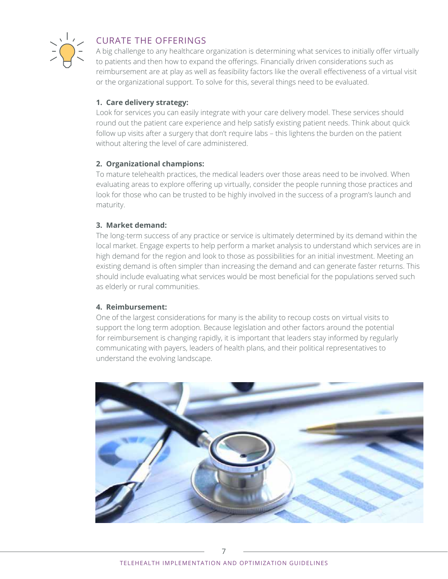

### CURATE THE OFFERINGS

A big challenge to any healthcare organization is determining what services to initially offer virtually to patients and then how to expand the offerings. Financially driven considerations such as reimbursement are at play as well as feasibility factors like the overall effectiveness of a virtual visit or the organizational support. To solve for this, several things need to be evaluated.

#### **1. Care delivery strategy:**

Look for services you can easily integrate with your care delivery model. These services should round out the patient care experience and help satisfy existing patient needs. Think about quick follow up visits after a surgery that don't require labs – this lightens the burden on the patient without altering the level of care administered.

#### **2. Organizational champions:**

To mature telehealth practices, the medical leaders over those areas need to be involved. When evaluating areas to explore offering up virtually, consider the people running those practices and look for those who can be trusted to be highly involved in the success of a program's launch and maturity.

#### **3. Market demand:**

The long-term success of any practice or service is ultimately determined by its demand within the local market. Engage experts to help perform a market analysis to understand which services are in high demand for the region and look to those as possibilities for an initial investment. Meeting an existing demand is often simpler than increasing the demand and can generate faster returns. This should include evaluating what services would be most beneficial for the populations served such as elderly or rural communities.

#### **4. Reimbursement:**

One of the largest considerations for many is the ability to recoup costs on virtual visits to support the long term adoption. Because legislation and other factors around the potential for reimbursement is changing rapidly, it is important that leaders stay informed by regularly communicating with payers, leaders of health plans, and their political representatives to understand the evolving landscape.

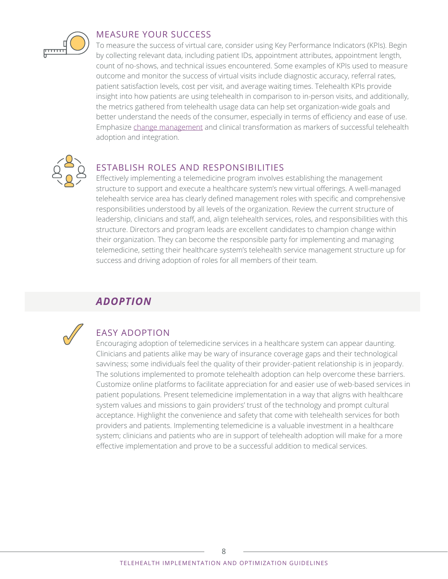

#### MEASURE YOUR SUCCESS

To measure the success of virtual care, consider using Key Performance Indicators (KPIs). Begin by collecting relevant data, including patient IDs, appointment attributes, appointment length, count of no-shows, and technical issues encountered. Some examples of KPIs used to measure outcome and monitor the success of virtual visits include diagnostic accuracy, referral rates, patient satisfaction levels, cost per visit, and average waiting times. Telehealth KPIs provide insight into how patients are using telehealth in comparison to in-person visits, and additionally, the metrics gathered from telehealth usage data can help set organization-wide goals and better understand the needs of the consumer, especially in terms of efficiency and ease of use. Emphasize [change management](https://www.senderoconsulting.com/blogs/make-your-companys-weight-loss-permanent/) and clinical transformation as markers of successful telehealth adoption and integration.



#### ESTABLISH ROLES AND RESPONSIBILITIES

Effectively implementing a telemedicine program involves establishing the management structure to support and execute a healthcare system's new virtual offerings. A well-managed telehealth service area has clearly defined management roles with specific and comprehensive responsibilities understood by all levels of the organization. Review the current structure of leadership, clinicians and staff, and, align telehealth services, roles, and responsibilities with this structure. Directors and program leads are excellent candidates to champion change within their organization. They can become the responsible party for implementing and managing telemedicine, setting their healthcare system's telehealth service management structure up for success and driving adoption of roles for all members of their team.

# *ADOPTION*



# EASY ADOPTION

Encouraging adoption of telemedicine services in a healthcare system can appear daunting. Clinicians and patients alike may be wary of insurance coverage gaps and their technological savviness; some individuals feel the quality of their provider-patient relationship is in jeopardy. The solutions implemented to promote telehealth adoption can help overcome these barriers. Customize online platforms to facilitate appreciation for and easier use of web-based services in patient populations. Present telemedicine implementation in a way that aligns with healthcare system values and missions to gain providers' trust of the technology and prompt cultural acceptance. Highlight the convenience and safety that come with telehealth services for both providers and patients. Implementing telemedicine is a valuable investment in a healthcare system; clinicians and patients who are in support of telehealth adoption will make for a more effective implementation and prove to be a successful addition to medical services.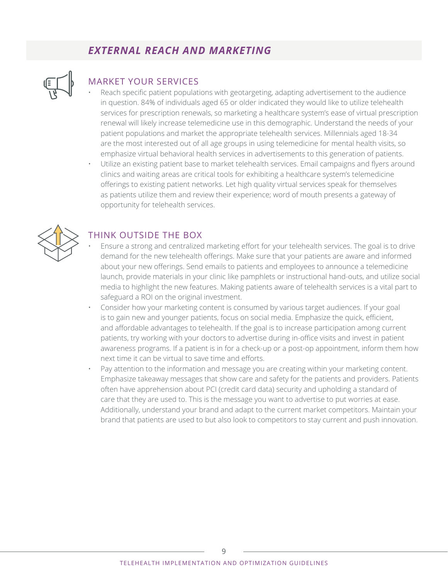# *EXTERNAL REACH AND MARKETING*



### MARKET YOUR SERVICES

- Reach specific patient populations with geotargeting, adapting advertisement to the audience in question. 84% of individuals aged 65 or older indicated they would like to utilize telehealth services for prescription renewals, so marketing a healthcare system's ease of virtual prescription renewal will likely increase telemedicine use in this demographic. Understand the needs of your patient populations and market the appropriate telehealth services. Millennials aged 18-34 are the most interested out of all age groups in using telemedicine for mental health visits, so emphasize virtual behavioral health services in advertisements to this generation of patients.
- Utilize an existing patient base to market telehealth services. Email campaigns and flyers around clinics and waiting areas are critical tools for exhibiting a healthcare system's telemedicine offerings to existing patient networks. Let high quality virtual services speak for themselves as patients utilize them and review their experience; word of mouth presents a gateway of opportunity for telehealth services.



#### THINK OUTSIDE THE BOX

- Ensure a strong and centralized marketing effort for your telehealth services. The goal is to drive demand for the new telehealth offerings. Make sure that your patients are aware and informed about your new offerings. Send emails to patients and employees to announce a telemedicine launch, provide materials in your clinic like pamphlets or instructional hand-outs, and utilize social media to highlight the new features. Making patients aware of telehealth services is a vital part to safeguard a ROI on the original investment.
- Consider how your marketing content is consumed by various target audiences. If your goal is to gain new and younger patients, focus on social media. Emphasize the quick, efficient, and affordable advantages to telehealth. If the goal is to increase participation among current patients, try working with your doctors to advertise during in-office visits and invest in patient awareness programs. If a patient is in for a check-up or a post-op appointment, inform them how next time it can be virtual to save time and efforts.
- Pay attention to the information and message you are creating within your marketing content. Emphasize takeaway messages that show care and safety for the patients and providers. Patients often have apprehension about PCI (credit card data) security and upholding a standard of care that they are used to. This is the message you want to advertise to put worries at ease. Additionally, understand your brand and adapt to the current market competitors. Maintain your brand that patients are used to but also look to competitors to stay current and push innovation.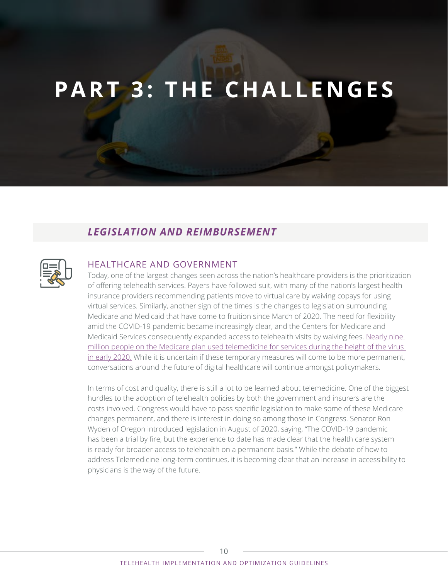# **PART 3: THE CHALLENGES**

# *LEGISLATION AND REIMBURSEMENT*



#### HEALTHCARE AND GOVERNMENT

Today, one of the largest changes seen across the nation's healthcare providers is the prioritization of offering telehealth services. Payers have followed suit, with many of the nation's largest health insurance providers recommending patients move to virtual care by waiving copays for using virtual services. Similarly, another sign of the times is the changes to legislation surrounding Medicare and Medicaid that have come to fruition since March of 2020. The need for flexibility amid the COVID-19 pandemic became increasingly clear, and the Centers for Medicare and Medicaid Services consequently expanded access to telehealth visits by waiving fees. [Nearly nine](https://www.nytimes.com/2020/08/03/health/covid-telemedicine-congress.html#:~:text=About%20nine%20million%20people%20under%20traditional%20Medicare%20used,really%20a%20no-brainer%20for%20us%2C%E2%80%9D%20Ms.%20Verma%20said.)  [million people on the Medicare plan used telemedicine for services during the height of the virus](https://www.nytimes.com/2020/08/03/health/covid-telemedicine-congress.html#:~:text=About%20nine%20million%20people%20under%20traditional%20Medicare%20used,really%20a%20no-brainer%20for%20us%2C%E2%80%9D%20Ms.%20Verma%20said.)  [in early 2020.](https://www.nytimes.com/2020/08/03/health/covid-telemedicine-congress.html#:~:text=About%20nine%20million%20people%20under%20traditional%20Medicare%20used,really%20a%20no-brainer%20for%20us%2C%E2%80%9D%20Ms.%20Verma%20said.) While it is uncertain if these temporary measures will come to be more permanent, conversations around the future of digital healthcare will continue amongst policymakers.

In terms of cost and quality, there is still a lot to be learned about telemedicine. One of the biggest hurdles to the adoption of telehealth policies by both the government and insurers are the costs involved. Congress would have to pass specific legislation to make some of these Medicare changes permanent, and there is interest in doing so among those in Congress. Senator Ron Wyden of Oregon introduced legislation in August of 2020, saying, "The COVID-19 pandemic has been a trial by fire, but the experience to date has made clear that the health care system is ready for broader access to telehealth on a permanent basis." While the debate of how to address Telemedicine long-term continues, it is becoming clear that an increase in accessibility to physicians is the way of the future.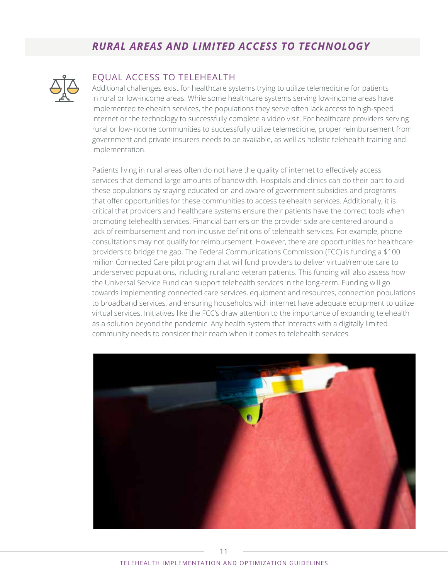# *RURAL AREAS AND LIMITED ACCESS TO TECHNOLOGY*



#### EQUAL ACCESS TO TELEHEALTH

Additional challenges exist for healthcare systems trying to utilize telemedicine for patients in rural or low-income areas. While some healthcare systems serving low-income areas have implemented telehealth services, the populations they serve often lack access to high-speed internet or the technology to successfully complete a video visit. For healthcare providers serving rural or low-income communities to successfully utilize telemedicine, proper reimbursement from government and private insurers needs to be available, as well as holistic telehealth training and implementation.

Patients living in rural areas often do not have the quality of internet to effectively access services that demand large amounts of bandwidth. Hospitals and clinics can do their part to aid these populations by staying educated on and aware of government subsidies and programs that offer opportunities for these communities to access telehealth services. Additionally, it is critical that providers and healthcare systems ensure their patients have the correct tools when promoting telehealth services. Financial barriers on the provider side are centered around a lack of reimbursement and non-inclusive definitions of telehealth services. For example, phone consultations may not qualify for reimbursement. However, there are opportunities for healthcare providers to bridge the gap. The Federal Communications Commission (FCC) is funding a \$100 million Connected Care pilot program that will fund providers to deliver virtual/remote care to underserved populations, including rural and veteran patients. This funding will also assess how the Universal Service Fund can support telehealth services in the long-term. Funding will go towards implementing connected care services, equipment and resources, connection populations to broadband services, and ensuring households with internet have adequate equipment to utilize virtual services. Initiatives like the FCC's draw attention to the importance of expanding telehealth as a solution beyond the pandemic. Any health system that interacts with a digitally limited community needs to consider their reach when it comes to telehealth services.